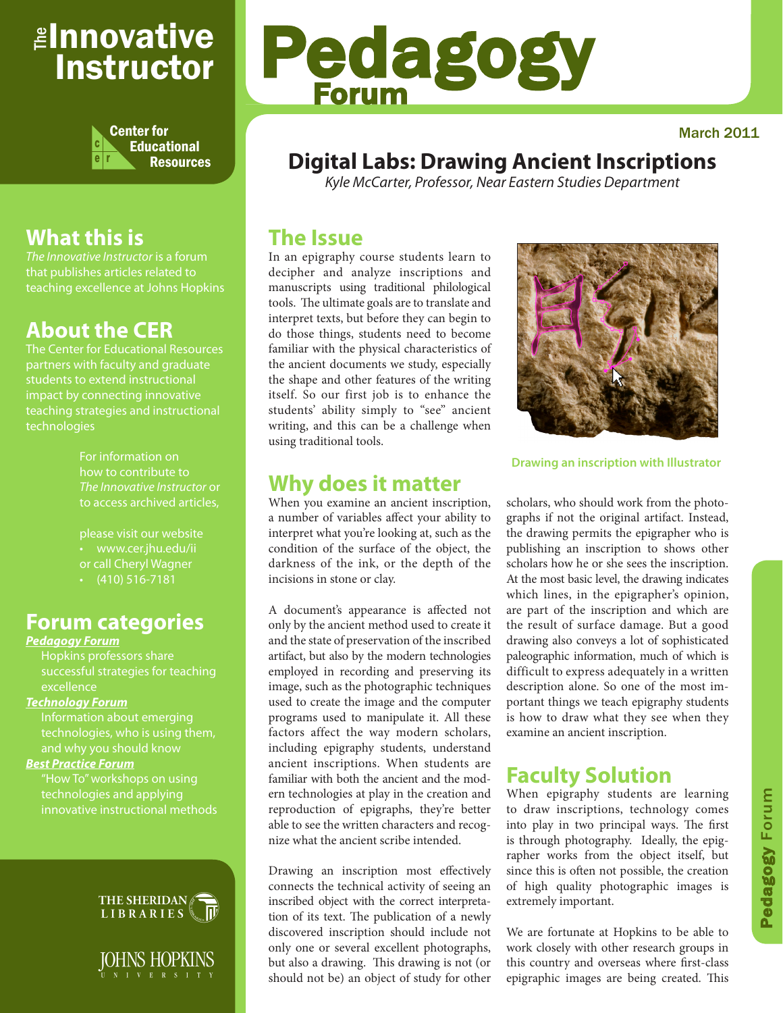## <sub>≝l</sub>nnovative Instructor



## **What this is**

that publishes articles related to teaching excellence at Johns Hopkins

## **About the CER**

The Center for Educational Resources partners with faculty and graduate teaching strategies and instructional technologies

> For information on how to contribute to *The Innovative Instructor* or to access archived articles,

please visit our website • www.cer.jhu.edu/ii or call Cheryl Wagner  $\cdot$  (410) 516-7181

## **Forum categories**

#### *Pedagogy Forum*

successful strategies for teaching excellence

#### *Technology Forum*

Information about emerging technologies, who is using them,

#### *Best Practice Forum*

technologies and applying



JOHNS HOPKINS

# Pedagogy Forum

#### March 2011

## **Digital Labs: Drawing Ancient Inscriptions**

*Kyle McCarter, Professor, Near Eastern Studies Department*

## **The Issue**

In an epigraphy course students learn to decipher and analyze inscriptions and manuscripts using traditional philological tools. The ultimate goals are to translate and interpret texts, but before they can begin to do those things, students need to become familiar with the physical characteristics of the ancient documents we study, especially the shape and other features of the writing itself. So our first job is to enhance the students' ability simply to "see" ancient writing, and this can be a challenge when using traditional tools.



**Drawing an inscription with Illustrator**

## **Why does it matter**

When you examine an ancient inscription, a number of variables affect your ability to interpret what you're looking at, such as the condition of the surface of the object, the darkness of the ink, or the depth of the incisions in stone or clay.

A document's appearance is affected not only by the ancient method used to create it and the state of preservation of the inscribed artifact, but also by the modern technologies employed in recording and preserving its image, such as the photographic techniques used to create the image and the computer programs used to manipulate it. All these factors affect the way modern scholars, including epigraphy students, understand ancient inscriptions. When students are familiar with both the ancient and the modern technologies at play in the creation and reproduction of epigraphs, they're better able to see the written characters and recognize what the ancient scribe intended.

Drawing an inscription most effectively connects the technical activity of seeing an inscribed object with the correct interpretation of its text. The publication of a newly discovered inscription should include not only one or several excellent photographs, but also a drawing. This drawing is not (or should not be) an object of study for other scholars, who should work from the photographs if not the original artifact. Instead, the drawing permits the epigrapher who is publishing an inscription to shows other scholars how he or she sees the inscription. At the most basic level, the drawing indicates which lines, in the epigrapher's opinion, are part of the inscription and which are the result of surface damage. But a good drawing also conveys a lot of sophisticated paleographic information, much of which is difficult to express adequately in a written description alone. So one of the most important things we teach epigraphy students is how to draw what they see when they examine an ancient inscription.

## **Faculty Solution**

When epigraphy students are learning to draw inscriptions, technology comes into play in two principal ways. The first is through photography. Ideally, the epigrapher works from the object itself, but since this is often not possible, the creation of high quality photographic images is extremely important.

We are fortunate at Hopkins to be able to work closely with other research groups in this country and overseas where first-class epigraphic images are being created. This